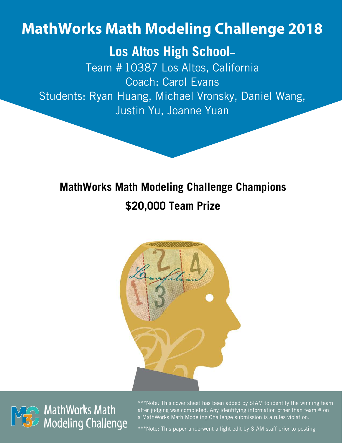# **MathWorks Math Modeling Challenge 2018**

# **Los Altos High School**–

Team #10387 Los Altos, California Coach: Carol Evans Students: Ryan Huang, Michael Vronsky, Daniel Wang, Justin Yu, Joanne Yuan

# **MathWorks Math Modeling Challenge Champions \$20,000 Team Prize**





\*\*\*Note: This cover sheet has been added by SIAM to identify the winning team after judging was completed. Any identifying information other than team # on a MathWorks Math Modeling Challenge submission is a rules violation.

\*\*\*Note: This paper underwent a light edit by SIAM staff prior to posting.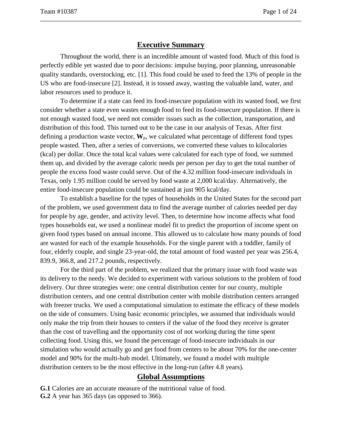# **Executive Summary**

Throughout the world, there is an incredible amount of wasted food. Much of this food is perfectly edible yet wasted due to poor decisions: impulse buying, poor planning, unreasonable quality standards, overstocking, etc. [1]. This food could be used to feed the 13% of people in the US who are food-insecure [2]. Instead, it is tossed away, wasting the valuable land, water, and labor resources used to produce it.

To determine if a state can feed its food-insecure population with its wasted food, we first consider whether a state even wastes enough food to feed its food-insecure population. If there is not enough wasted food, we need not consider issues such as the collection, transportation, and distribution of this food. This turned out to be the case in our analysis of Texas. After first defining a production waste vector,  $W_p$ , we calculated what percentage of different food types people wasted. Then, after a series of conversions, we converted these values to kilocalories (kcal) per dollar. Once the total kcal values were calculated for each type of food, we summed them up, and divided by the average caloric needs per person per day to get the total number of people the excess food waste could serve. Out of the 4.32 million food-insecure individuals in Texas, only 1.95 million could be served by food waste at 2,000 kcal/day. Alternatively, the entire food-insecure population could be sustained at just 905 kcal/day.

To establish a baseline for the types of households in the United States for the second part of the problem, we used government data to find the average number of calories needed per day for people by age, gender, and activity level. Then, to determine how income affects what food types households eat, we used a nonlinear model fit to predict the proportion of income spent on given food types based on annual income. This allowed us to calculate how many pounds of food are wasted for each of the example households. For the single parent with a toddler, family of four, elderly couple, and single 23-year-old, the total amount of food wasted per year was 256.4, 839.9, 366.8, and 217.2 pounds, respectively.

For the third part of the problem, we realized that the primary issue with food waste was its delivery to the needy. We decided to experiment with various solutions to the problem of food delivery. Our three strategies were: one central distribution center for our county, multiple distribution centers, and one central distribution center with mobile distribution centers arranged with freezer trucks. We used a computational simulation to estimate the efficacy of these models on the side of consumers. Using basic economic principles, we assumed that individuals would only make the trip from their houses to centers if the value of the food they receive is greater than the cost of travelling and the opportunity cost of not working during the time spent collecting food. Using this, we found the percentage of food-insecure individuals in our simulation who would actually go and get food from centers to be about 70% for the one-center model and 90% for the multi-hub model. Ultimately, we found a model with multiple distribution centers to be the most effective in the long-run (after 4.8 years).

#### **Global Assumptions**

**G.1** Calories are an accurate measure of the nutritional value of food.

**G.2** A year has 365 days (as opposed to 366).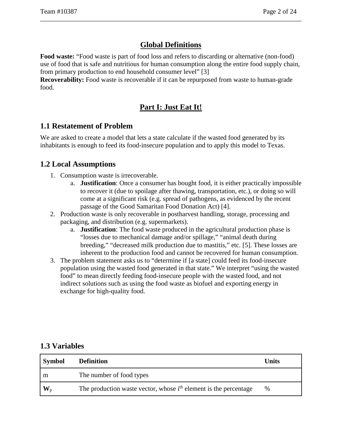# **Global Definitions**

**Food waste:** "Food waste is part of food loss and refers to discarding or alternative (non-food) use of food that is safe and nutritious for human consumption along the entire food supply chain, from primary production to end household consumer level" [3]

**Recoverability:** Food waste is recoverable if it can be repurposed from waste to human-grade food.

# **Part I: Just Eat It!**

# **1.1 Restatement of Problem**

We are asked to create a model that lets a state calculate if the wasted food generated by its inhabitants is enough to feed its food-insecure population and to apply this model to Texas.

# **1.2 Local Assumptions**

- 1. Consumption waste is irrecoverable.
	- a. **Justification**: Once a consumer has bought food, it is either practically impossible to recover it (due to spoilage after thawing, transportation, etc.), or doing so will come at a significant risk (e.g. spread of pathogens, as evidenced by the recent passage of the Good Samaritan Food Donation Act) [4].
- 2. Production waste is only recoverable in postharvest handling, storage, processing and packaging, and distribution (e.g. supermarkets).
	- a. **Justification**: The food waste produced in the agricultural production phase is "losses due to mechanical damage and/or spillage," "animal death during breeding," "decreased milk production due to mastitis," etc. [5]. These losses are inherent to the production food and cannot be recovered for human consumption.
- 3. The problem statement asks us to "determine if [a state] could feed its food-insecure population using the wasted food generated in that state." We interpret "using the wasted food" to mean directly feeding food-insecure people with the wasted food, and not indirect solutions such as using the food waste as biofuel and exporting energy in exchange for high-quality food.

#### **1.3 Variables**

| Symbol               | <b>Definition</b>                                                            | Units |
|----------------------|------------------------------------------------------------------------------|-------|
| m                    | The number of food types                                                     |       |
| $\mathbf{W}_{\rm p}$ | The production waste vector, whose i <sup>th</sup> element is the percentage | %     |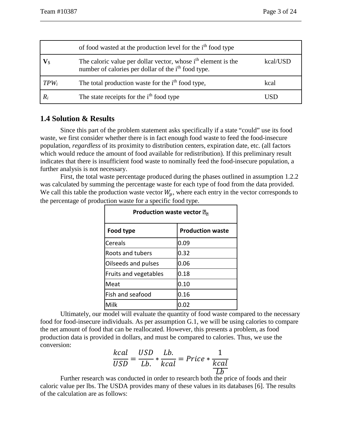|                       | of food wasted at the production level for the i <sup>th</sup> food type                                                                     |          |
|-----------------------|----------------------------------------------------------------------------------------------------------------------------------------------|----------|
| $\mathbf{V}_\text{S}$ | The caloric value per dollar vector, whose i <sup>th</sup> element is the<br>number of calories per dollar of the i <sup>th</sup> food type. | kcal/USD |
| $TPW_i$               | The total production waste for the <i>i</i> <sup>th</sup> food type,                                                                         | kcal     |
| $R_i$                 | The state receipts for the i <sup>th</sup> food type                                                                                         | USD      |

#### **1.4 Solution & Results**

Since this part of the problem statement asks specifically if a state "could" use its food waste, we first consider whether there is in fact enough food waste to feed the food-insecure population, *regardless* of its proximity to distribution centers, expiration date, etc. (all factors which would reduce the amount of food available for redistribution). If this preliminary result indicates that there is insufficient food waste to nominally feed the food-insecure population, a further analysis is not necessary.

First, the total waste percentage produced during the phases outlined in assumption 1.2.2 was calculated by summing the percentage waste for each type of food from the data provided. We call this table the production waste vector  $W_p$ , where each entry in the vector corresponds to the percentage of production waste for a specific food type.

| <b>Production waste vector 2</b> |                         |  |  |  |
|----------------------------------|-------------------------|--|--|--|
| Food type                        | <b>Production waste</b> |  |  |  |
| <b>Cereals</b>                   | 0.09                    |  |  |  |
| <b>Roots and tubers</b>          | 0.32                    |  |  |  |
| Oilseeds and pulses              | 0.06                    |  |  |  |
| Fruits and vegetables            | 0.18                    |  |  |  |
| Meat                             | 0.10                    |  |  |  |
| Fish and seafood                 | 0.16                    |  |  |  |
| Milk                             |                         |  |  |  |

Ultimately, our model will evaluate the quantity of food waste compared to the necessary food for food-insecure individuals. As per assumption G.1, we will be using calories to compare the net amount of food that can be reallocated. However, this presents a problem, as food production data is provided in dollars, and must be compared to calories. Thus, we use the conversion:

$$
\frac{kcal}{USD} = \frac{USD}{Lb} \cdot \frac{Lb}{kcal} = Price \cdot \frac{1}{kcal}
$$

**EXECUTE:**<br>Further research was conducted in order to research both the price of foods and their caloric value per lbs. The USDA provides many of these values in its databases [6]. The results of the calculation are as follows: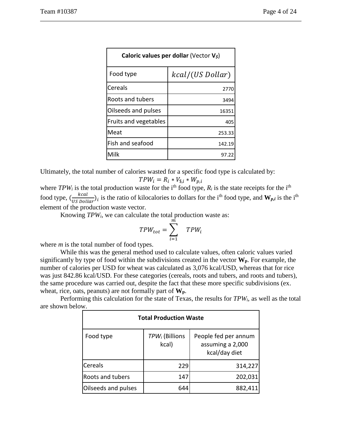| Caloric values per dollar (Vector Vs) |                  |  |  |  |
|---------------------------------------|------------------|--|--|--|
| Food type                             | kcal/(US Dollar) |  |  |  |
| Cereals                               | 2770             |  |  |  |
| Roots and tubers                      | 3494             |  |  |  |
| Oilseeds and pulses                   | 16351            |  |  |  |
| Fruits and vegetables                 | 405              |  |  |  |
| Meat                                  | 253.33           |  |  |  |
| Fish and seafood                      | 142.19           |  |  |  |
| Milk                                  | 97.22            |  |  |  |

Ultimately, the total number of calories wasted for a specific food type is calculated by:

$$
TPW_i = R_i * V_{\$, i} * W_{p, i}
$$

where  $TPW_i$  is the total production waste for the i<sup>th</sup> food type,  $R_i$  is the state receipts for the i<sup>th</sup> food type,  $(\frac{kcal}{US\,Dollar})_i$  is the ratio of kilocalories to dollars for the i<sup>th</sup> food type, and  $W_{p,i}$  is the i<sup>th</sup> element of the production waste vector.

Knowing *TPWi*, we can calculate the total production waste as:

$$
TPW_{tot} = \sum_{i=1}^{m} \quad TPW_i
$$

where *m* is the total number of food types.

While this was the general method used to calculate values, often caloric values varied significantly by type of food within the subdivisions created in the vector **Wp**. For example, the number of calories per USD for wheat was calculated as 3,076 kcal/USD, whereas that for rice was just 842.86 kcal/USD. For these categories (cereals, roots and tubers, and roots and tubers), the same procedure was carried out, despite the fact that these more specific subdivisions (ex. wheat, rice, oats, peanuts) are not formally part of **Wp**.

Performing this calculation for the state of Texas, the results for *TPWi*, as well as the total are shown below.

| <b>Total Production Waste</b> |                                     |                                                           |  |  |
|-------------------------------|-------------------------------------|-----------------------------------------------------------|--|--|
| Food type                     | TPW <sub>i</sub> (Billions<br>kcal) | People fed per annum<br>assuming a 2,000<br>kcal/day diet |  |  |
| <b>Cereals</b>                | 229                                 | 314,227                                                   |  |  |
| Roots and tubers              | 147                                 | 202,031                                                   |  |  |
| Oilseeds and pulses           | 644                                 | 882,411                                                   |  |  |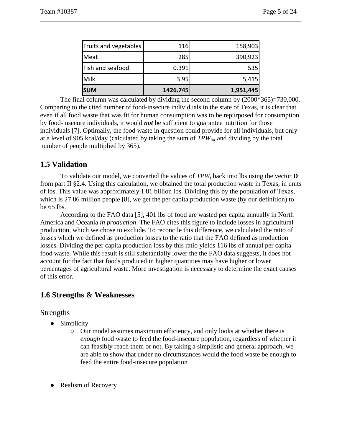| <b>SUM</b>            | 1426.745 | 1,951,445 |
|-----------------------|----------|-----------|
| <b>Milk</b>           | 3.95     | 5,415     |
| Fish and seafood      | 0.391    | 535       |
| Meat                  | 285      | 390,923   |
| Fruits and vegetables | 116      | 158,903   |

The final column was calculated by dividing the second column by  $(2000*365)=730,000$ . Comparing to the cited number of food-insecure individuals in the state of Texas, it is clear that even if all food waste that was fit for human consumption was to be repurposed for consumption by food-insecure individuals, it would *not* be sufficient to guarantee nutrition for those individuals [7]. Optimally, the food waste in question could provide for all individuals, but only at a level of 905 kcal/day (calculated by taking the sum of  $TPW_{tot}$  and dividing by the total number of people multiplied by 365).

#### **1.5 Validation**

To validate our model, we converted the values of *TPWi* back into lbs using the vector **D** from part II §2.4. Using this calculation, we obtained the total production waste in Texas, in units of lbs. This value was approximately 1.81 billion lbs. Dividing this by the population of Texas, which is 27.86 million people [8], we get the per capita production waste (by our definition) to be 65 lbs.

According to the FAO data [5], 401 lbs of food are wasted per capita annually in North America and Oceania *in production*. The FAO cites this figure to include losses in agricultural production, which we chose to exclude. To reconcile this difference, we calculated the ratio of losses which we defined as production losses to the ratio that the FAO defined as production losses. Dividing the per capita production loss by this ratio yields 116 lbs of annual per capita food waste. While this result is still substantially lower the the FAO data suggests, it does not account for the fact that foods produced in higher quantities may have higher or lower percentages of agricultural waste. More investigation is necessary to determine the exact causes of this error.

# **1.6 Strengths & Weaknesses**

#### Strengths

- Simplicity
	- Our model assumes maximum efficiency, and only looks at whether there is *enough* food waste to feed the food-insecure population, regardless of whether it can feasibly reach them or not. By taking a simplistic and general approach, we are able to show that under no circumstances would the food waste be enough to feed the entire food-insecure population
- Realism of Recovery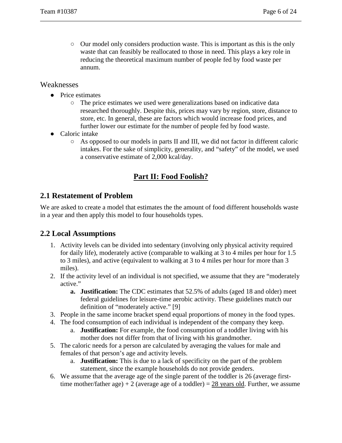○ Our model only considers production waste. This is important as this is the only waste that can feasibly be reallocated to those in need. This plays a key role in reducing the theoretical maximum number of people fed by food waste per annum.

#### Weaknesses

- Price estimates
	- The price estimates we used were generalizations based on indicative data researched thoroughly. Despite this, prices may vary by region, store, distance to store, etc. In general, these are factors which would increase food prices, and further lower our estimate for the number of people fed by food waste.
- Caloric intake
	- As opposed to our models in parts II and III, we did not factor in different caloric intakes. For the sake of simplicity, generality, and "safety" of the model, we used a conservative estimate of 2,000 kcal/day.

# **Part II: Food Foolish?**

#### **2.1 Restatement of Problem**

We are asked to create a model that estimates the the amount of food different households waste in a year and then apply this model to four households types.

# **2.2 Local Assumptions**

- 1. Activity levels can be divided into sedentary (involving only physical activity required for daily life), moderately active (comparable to walking at 3 to 4 miles per hour for 1.5 to 3 miles), and active (equivalent to walking at 3 to 4 miles per hour for more than 3 miles).
- 2. If the activity level of an individual is not specified, we assume that they are "moderately active."
	- **a. Justification:** The CDC estimates that 52.5% of adults (aged 18 and older) meet federal guidelines for leisure-time aerobic activity. These guidelines match our definition of "moderately active." [9]
- 3. People in the same income bracket spend equal proportions of money in the food types.
- 4. The food consumption of each individual is independent of the company they keep.
	- a. **Justification:** For example, the food consumption of a toddler living with his mother does not differ from that of living with his grandmother.
- 5. The caloric needs for a person are calculated by averaging the values for male and females of that person's age and activity levels.
	- a. **Justification:** This is due to a lack of specificity on the part of the problem statement, since the example households do not provide genders.
- 6. We assume that the average age of the single parent of the toddler is 26 (average firsttime mother/father age) + 2 (average age of a toddler) =  $28$  years old. Further, we assume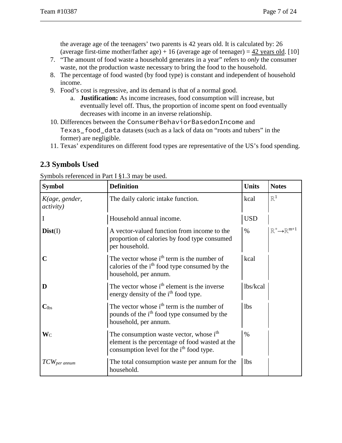the average age of the teenagers' two parents is 42 years old. It is calculated by: 26 (average first-time mother/father age) + 16 (average age of teenager) =  $42$  years old. [10]

- 7. "The amount of food waste a household generates in a year" refers to *only* the consumer waste, not the production waste necessary to bring the food to the household.
- 8. The percentage of food wasted (by food type) is constant and independent of household income.
- 9. Food's cost is regressive, and its demand is that of a normal good.
	- a. **Justification:** As income increases, food consumption will increase, but eventually level off. Thus, the proportion of income spent on food eventually decreases with income in an inverse relationship.
- 10. Differences between the ConsumerBehaviorBasedonIncome and Texas\_food\_data datasets (such as a lack of data on "roots and tubers" in the former) are negligible.
- 11. Texas' expenditures on different food types are representative of the US's food spending.

# **2.3 Symbols Used**

| Symbols referenced in Part I §1.3 may be used. |  |
|------------------------------------------------|--|
|------------------------------------------------|--|

| <b>Symbol</b>                       | <b>Definition</b>                                                                                                                                              | <b>Units</b> | <b>Notes</b>                               |
|-------------------------------------|----------------------------------------------------------------------------------------------------------------------------------------------------------------|--------------|--------------------------------------------|
| K(age, gender,<br><i>activity</i> ) | The daily caloric intake function.                                                                                                                             | kcal         | $\mathbb{R}^1$                             |
|                                     | Household annual income.                                                                                                                                       | <b>USD</b>   |                                            |
| Dist(I)                             | A vector-valued function from income to the<br>proportion of calories by food type consumed<br>per household.                                                  | $\%$         | $\mathbb{R}^+\rightarrow \mathbb{R}^{m+1}$ |
| $\mathbf C$                         | The vector whose $ith$ term is the number of<br>calories of the i <sup>th</sup> food type consumed by the<br>household, per annum.                             | kcal         |                                            |
| D                                   | The vector whose i <sup>th</sup> element is the inverse<br>energy density of the i <sup>th</sup> food type.                                                    | lbs/kcal     |                                            |
| $\mathbf{C}_{\text{lbs}}$           | The vector whose i <sup>th</sup> term is the number of<br>pounds of the i <sup>th</sup> food type consumed by the<br>household, per annum.                     | <b>lbs</b>   |                                            |
| $\mathbf{W}_{\mathrm{C}}$           | The consumption waste vector, whose i <sup>th</sup><br>element is the percentage of food wasted at the<br>consumption level for the i <sup>th</sup> food type. | $\%$         |                                            |
| $TCW_{per\, annum}$                 | The total consumption waste per annum for the<br>household.                                                                                                    | <b>lbs</b>   |                                            |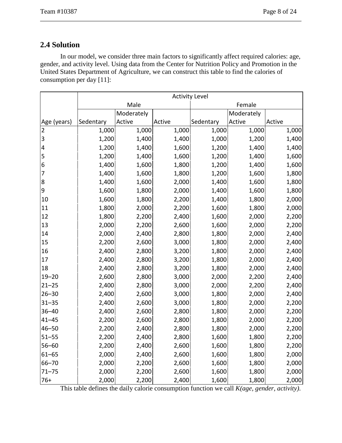# **2.4 Solution**

In our model, we consider three main factors to significantly affect required calories: age, gender, and activity level. Using data from the Center for Nutrition Policy and Promotion in the United States Department of Agriculture, we can construct this table to find the calories of consumption per day [11]:

|                         | <b>Activity Level</b> |            |        |           |            |        |
|-------------------------|-----------------------|------------|--------|-----------|------------|--------|
|                         | Male                  |            | Female |           |            |        |
|                         |                       | Moderately |        |           | Moderately |        |
| Age (years)             | Sedentary             | Active     | Active | Sedentary | Active     | Active |
| 2                       | 1,000                 | 1,000      | 1,000  | 1,000     | 1,000      | 1,000  |
| 3                       | 1,200                 | 1,400      | 1,400  | 1,000     | 1,200      | 1,400  |
| $\overline{\mathbf{4}}$ | 1,200                 | 1,400      | 1,600  | 1,200     | 1,400      | 1,400  |
| 5                       | 1,200                 | 1,400      | 1,600  | 1,200     | 1,400      | 1,600  |
| 6                       | 1,400                 | 1,600      | 1,800  | 1,200     | 1,400      | 1,600  |
| 7                       | 1,400                 | 1,600      | 1,800  | 1,200     | 1,600      | 1,800  |
| 8                       | 1,400                 | 1,600      | 2,000  | 1,400     | 1,600      | 1,800  |
| $\mathsf 9$             | 1,600                 | 1,800      | 2,000  | 1,400     | 1,600      | 1,800  |
| 10                      | 1,600                 | 1,800      | 2,200  | 1,400     | 1,800      | 2,000  |
| 11                      | 1,800                 | 2,000      | 2,200  | 1,600     | 1,800      | 2,000  |
| 12                      | 1,800                 | 2,200      | 2,400  | 1,600     | 2,000      | 2,200  |
| 13                      | 2,000                 | 2,200      | 2,600  | 1,600     | 2,000      | 2,200  |
| 14                      | 2,000                 | 2,400      | 2,800  | 1,800     | 2,000      | 2,400  |
| 15                      | 2,200                 | 2,600      | 3,000  | 1,800     | 2,000      | 2,400  |
| 16                      | 2,400                 | 2,800      | 3,200  | 1,800     | 2,000      | 2,400  |
| 17                      | 2,400                 | 2,800      | 3,200  | 1,800     | 2,000      | 2,400  |
| 18                      | 2,400                 | 2,800      | 3,200  | 1,800     | 2,000      | 2,400  |
| $19 - 20$               | 2,600                 | 2,800      | 3,000  | 2,000     | 2,200      | 2,400  |
| $21 - 25$               | 2,400                 | 2,800      | 3,000  | 2,000     | 2,200      | 2,400  |
| $26 - 30$               | 2,400                 | 2,600      | 3,000  | 1,800     | 2,000      | 2,400  |
| $31 - 35$               | 2,400                 | 2,600      | 3,000  | 1,800     | 2,000      | 2,200  |
| $36 - 40$               | 2,400                 | 2,600      | 2,800  | 1,800     | 2,000      | 2,200  |
| $41 - 45$               | 2,200                 | 2,600      | 2,800  | 1,800     | 2,000      | 2,200  |
| $46 - 50$               | 2,200                 | 2,400      | 2,800  | 1,800     | 2,000      | 2,200  |
| $51 - 55$               | 2,200                 | 2,400      | 2,800  | 1,600     | 1,800      | 2,200  |
| $56 - 60$               | 2,200                 | 2,400      | 2,600  | 1,600     | 1,800      | 2,200  |
| $61 - 65$               | 2,000                 | 2,400      | 2,600  | 1,600     | 1,800      | 2,000  |
| $66 - 70$               | 2,000                 | 2,200      | 2,600  | 1,600     | 1,800      | 2,000  |
| $71 - 75$               | 2,000                 | 2,200      | 2,600  | 1,600     | 1,800      | 2,000  |
| $76+$                   | 2,000                 | 2,200      | 2,400  | 1,600     | 1,800      | 2,000  |

This table defines the daily calorie consumption function we call *K(age, gender, activity)*.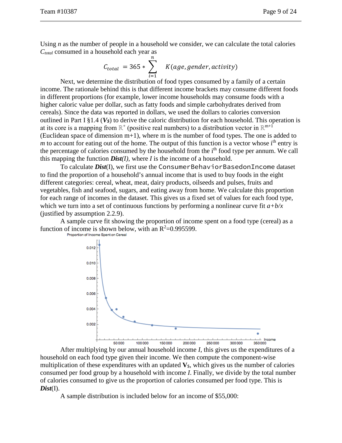Using *n* as the number of people in a household we consider, we can calculate the total calories *Ctotal* consumed in a household each year as

$$
C_{total} = 365 * \sum_{i=1}^{n} K(age, gender, activity)
$$

Next, we determine the distribution of food types consumed by a family of a certain income. The rationale behind this is that different income brackets may consume different foods in different proportions (for example, lower income households may consume foods with a higher caloric value per dollar, such as fatty foods and simple carbohydrates derived from cereals). Since the data was reported in dollars, we used the dollars to calories conversion outlined in Part I §1.4 (*V\$*) to derive the caloric distribution for each household. This operation is at its core is a mapping from  $\mathbb{R}^+$  (positive real numbers) to a distribution vector in  $\mathbb{R}^{m+1}$ (Euclidean space of dimension m+1), where m is the number of food types. The one is added to *m* to account for eating out of the home. The output of this function is a vector whose  $i<sup>th</sup>$  entry is the percentage of calories consumed by the household from the i<sup>th</sup> food type per annum. We call this mapping the function *Dist(I)*, where *I* is the income of a household.

To calculate *Dist*(I), we first use the ConsumerBehaviorBasedonIncome dataset to find the proportion of a household's annual income that is used to buy foods in the eight different categories: cereal, wheat, meat, dairy products, oilseeds and pulses, fruits and vegetables, fish and seafood, sugars, and eating away from home. We calculate this proportion for each range of incomes in the dataset. This gives us a fixed set of values for each food type, which we turn into a set of continuous functions by performing a nonlinear curve fit  $a+b/x$ (justified by assumption 2.2.9).

A sample curve fit showing the proportion of income spent on a food type (cereal) as a function of income is shown below, with an  $R^2=0.995599$ .



After multiplying by our annual household income *I*, this gives us the expenditures of a household on each food type given their income. We then compute the component-wise multiplication of these expenditures with an updated  $V_s$ , which gives us the number of calories consumed per food group by a household with income *I*. Finally, we divide by the total number of calories consumed to give us the proportion of calories consumed per food type. This is *Dist*(I).

A sample distribution is included below for an income of \$55,000: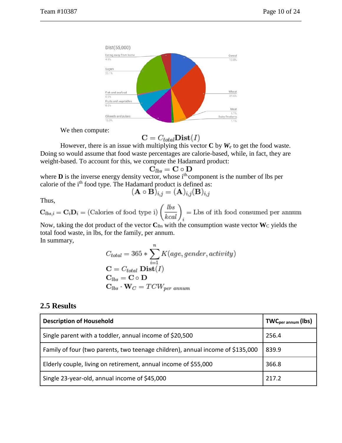

We then compute:

$$
\mathbf{C} = C_{total} \mathbf{Dist}(I)
$$

However, there is an issue with multiplying this vector  $C$  by  $W_c$  to get the food waste. Doing so would assume that food waste percentages are calorie-based, while, in fact, they are weight-based. To account for this, we compute the Hadamard product:

$$
\mathbf{C}_{lbs}=\mathbf{C}\circ\mathbf{D}
$$

where  **is the inverse energy density vector, whose**  $i<sup>th</sup>$  **component is the number of lbs per** calorie of the i<sup>th</sup> food type. The Hadamard product is defined as:<br> $(\mathbf{A} \circ \mathbf{B})_{i,j} = (\mathbf{A})_{i,j} (\mathbf{B})_{i,j}$ 

$$
h\overline{\mathrm{u}}\mathrm{s}
$$

Thus,<br>  $\mathbf{C}_{lbs,i} = \mathbf{C}_i \mathbf{D}_i = (\text{Calories of food type i}) \left(\frac{lbs}{kcal}\right)_i = \text{Lbs of ith food consumed per annum}$ 

Now, taking the dot product of the vector  $C_{\text{lbs}}$  with the consumption waste vector W<sub>C</sub> yields the total food waste, in lbs, for the family, per annum. In summary,

$$
C_{total} = 365 * \sum_{i=1}^{n} K(age, gender, activity)
$$
  
\n
$$
C = C_{total} \text{ Dist}(I)
$$
  
\n
$$
C_{lbs} = C \circ D
$$
  
\n
$$
C_{lbs} \cdot W_C = TCW_{per\; annum}
$$

#### **2.5 Results**

| <b>Description of Household</b>                                                | $TWC_{per annum}$ (lbs) |
|--------------------------------------------------------------------------------|-------------------------|
| Single parent with a toddler, annual income of \$20,500                        | 256.4                   |
| Family of four (two parents, two teenage children), annual income of \$135,000 | 839.9                   |
| Elderly couple, living on retirement, annual income of \$55,000                | 366.8                   |
| Single 23-year-old, annual income of \$45,000                                  | 217.2                   |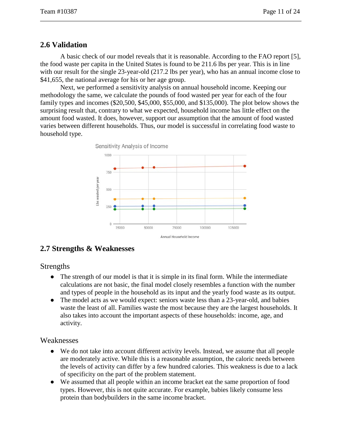### **2.6 Validation**

A basic check of our model reveals that it is reasonable. According to the FAO report [5], the food waste per capita in the United States is found to be 211.6 lbs per year. This is in line with our result for the single 23-year-old (217.2 lbs per year), who has an annual income close to \$41,655, the national average for his or her age group.

Next, we performed a sensitivity analysis on annual household income. Keeping our methodology the same, we calculate the pounds of food wasted per year for each of the four family types and incomes (\$20,500, \$45,000, \$55,000, and \$135,000). The plot below shows the surprising result that, contrary to what we expected, household income has little effect on the amount food wasted. It does, however, support our assumption that the amount of food wasted varies between different households. Thus, our model is successful in correlating food waste to household type.



# **2.7 Strengths & Weaknesses**

#### Strengths

- The strength of our model is that it is simple in its final form. While the intermediate calculations are not basic, the final model closely resembles a function with the number and types of people in the household as its input and the yearly food waste as its output.
- The model acts as we would expect: seniors waste less than a 23-year-old, and babies waste the least of all. Families waste the most because they are the largest households. It also takes into account the important aspects of these households: income, age, and activity.

#### Weaknesses

- We do not take into account different activity levels. Instead, we assume that all people are moderately active. While this is a reasonable assumption, the caloric needs between the levels of activity can differ by a few hundred calories. This weakness is due to a lack of specificity on the part of the problem statement.
- We assumed that all people within an income bracket eat the same proportion of food types. However, this is not quite accurate. For example, babies likely consume less protein than bodybuilders in the same income bracket.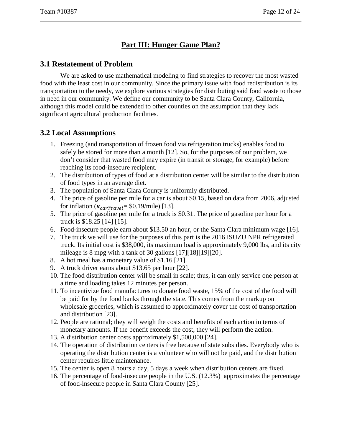# **Part III: Hunger Game Plan?**

#### **3.1 Restatement of Problem**

We are asked to use mathematical modeling to find strategies to recover the most wasted food with the least cost in our community. Since the primary issue with food redistribution is its transportation to the needy, we explore various strategies for distributing said food waste to those in need in our community. We define our community to be Santa Clara County, California, although this model could be extended to other counties on the assumption that they lack significant agricultural production facilities.

# **3.2 Local Assumptions**

- 1. Freezing (and transportation of frozen food via refrigeration trucks) enables food to safely be stored for more than a month [12]. So, for the purposes of our problem, we don't consider that wasted food may expire (in transit or storage, for example) before reaching its food-insecure recipient.
- 2. The distribution of types of food at a distribution center will be similar to the distribution of food types in an average diet.
- 3. The population of Santa Clara County is uniformly distributed.
- 4. The price of gasoline per mile for a car is about \$0.15, based on data from 2006, adjusted for inflation  $(\kappa_{carrravel} = $0.19/\text{mile})$  [13].
- 5. The price of gasoline per mile for a truck is \$0.31. The price of gasoline per hour for a truck is \$18.25 [14] [15].
- 6. Food-insecure people earn about \$13.50 an hour, or the Santa Clara minimum wage [16].
- 7. The truck we will use for the purposes of this part is the 2016 ISUZU NPR refrigerated truck. Its initial cost is \$38,000, its maximum load is approximately 9,000 lbs, and its city mileage is 8 mpg with a tank of 30 gallons [17][18][19][20].
- 8. A hot meal has a monetary value of \$1.16 [21].
- 9. A truck driver earns about \$13.65 per hour [22].
- 10. The food distribution center will be small in scale; thus, it can only service one person at a time and loading takes 12 minutes per person.
- 11. To incentivize food manufactures to donate food waste, 15% of the cost of the food will be paid for by the food banks through the state. This comes from the markup on wholesale groceries, which is assumed to approximately cover the cost of transportation and distribution [23].
- 12. People are rational; they will weigh the costs and benefits of each action in terms of monetary amounts. If the benefit exceeds the cost, they will perform the action.
- 13. A distribution center costs approximately \$1,500,000 [24].
- 14. The operation of distribution centers is free because of state subsidies. Everybody who is operating the distribution center is a volunteer who will not be paid, and the distribution center requires little maintenance.
- 15. The center is open 8 hours a day, 5 days a week when distribution centers are fixed.
- 16. The percentage of food-insecure people in the U.S. (12.3%) approximates the percentage of food-insecure people in Santa Clara County [25].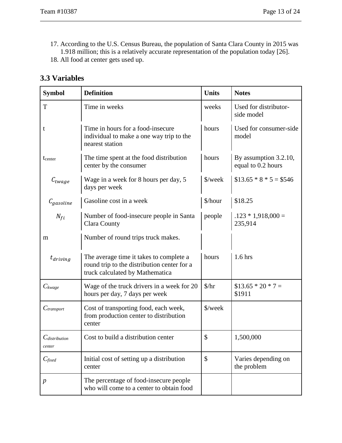17. According to the U.S. Census Bureau, the population of Santa Clara County in 2015 was 1.918 million; this is a relatively accurate representation of the population today [26].

18. All food at center gets used up.

| <b>Symbol</b>                | <b>Definition</b>                                                                                                         | <b>Units</b>                | <b>Notes</b>                                |
|------------------------------|---------------------------------------------------------------------------------------------------------------------------|-----------------------------|---------------------------------------------|
| $\mathbf T$                  | Time in weeks                                                                                                             | weeks                       | Used for distributor-<br>side model         |
| t                            | Time in hours for a food-insecure<br>individual to make a one way trip to the<br>nearest station                          | hours                       | Used for consumer-side<br>model             |
| tcenter                      | The time spent at the food distribution<br>center by the consumer                                                         | hours                       | By assumption 3.2.10,<br>equal to 0.2 hours |
| $C_{twage}$                  | Wage in a week for 8 hours per day, 5<br>days per week                                                                    | \$/week                     | $$13.65 * 8 * 5 = $546$                     |
| $C_{gasoline}$               | Gasoline cost in a week                                                                                                   | \$/hour                     | \$18.25                                     |
| $N_{fi}$                     | Number of food-insecure people in Santa<br>Clara County                                                                   | people                      | $.123 * 1,918,000 =$<br>235,914             |
| m                            | Number of round trips truck makes.                                                                                        |                             |                                             |
| $t_{driving}$                | The average time it takes to complete a<br>round trip to the distribution center for a<br>truck calculated by Mathematica | hours                       | $1.6$ hrs                                   |
| $C_{\text{kwage}}$           | Wage of the truck drivers in a week for 20<br>hours per day, 7 days per week                                              | $\frac{\text{L}}{\text{L}}$ | $$13.65 * 20 * 7 =$<br>\$1911               |
| $C_{transport}$              | Cost of transporting food, each week,<br>from production center to distribution<br>center                                 | \$/week                     |                                             |
| $C_{distribution}$<br>center | Cost to build a distribution center                                                                                       | \$                          | 1,500,000                                   |
| $C_{fixed}$                  | Initial cost of setting up a distribution<br>center                                                                       | \$                          | Varies depending on<br>the problem          |
| $\boldsymbol{p}$             | The percentage of food-insecure people<br>who will come to a center to obtain food                                        |                             |                                             |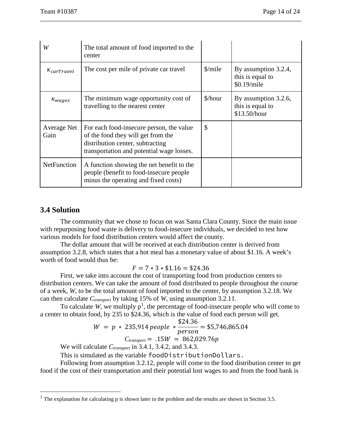| W                    | The total amount of food imported to the<br>center                                                                                                              |               |                                                          |
|----------------------|-----------------------------------------------------------------------------------------------------------------------------------------------------------------|---------------|----------------------------------------------------------|
| $\kappa_{carTravel}$ | The cost per mile of private car travel                                                                                                                         | $\frac{\sinh$ | By assumption 3.2.4,<br>this is equal to<br>\$0.19/mile  |
| $\kappa_{wages}$     | The minimum wage opportunity cost of<br>travelling to the nearest center                                                                                        | \$/hour       | By assumption 3.2.6,<br>this is equal to<br>\$13.50/hour |
| Average Net<br>Gain  | For each food-insecure person, the value<br>of the food they will get from the<br>distribution center, subtracting<br>transportation and potential wage losses. | $\mathcal{S}$ |                                                          |
| <b>NetFunction</b>   | A function showing the net benefit to the<br>people (benefit to food-insecure people)<br>minus the operating and fixed costs)                                   |               |                                                          |

#### **3.4 Solution**

The community that we chose to focus on was Santa Clara County. Since the main issue with repurposing food waste is delivery to food-insecure individuals, we decided to test how various models for food distribution centers would affect the county.

The dollar amount that will be received at each distribution center is derived from assumption 3.2.8, which states that a hot meal has a monetary value of about \$1.16. A week's worth of food would thus be:

#### $F = 7 * 3 * $1.16 = $24.36$

First, we take into account the cost of transporting food from production centers to distribution centers. We can take the amount of food distributed to people throughout the course of a week, *W*, to be the total amount of food imported to the center, by assumption 3.2.18. We can then calculate *Ctransport* by taking 15% of *W*, using assumption 3.2.11.

To calculate *W*, we multiply  $p^1$  $p^1$ , the percentage of food-insecure people who will come to a center to obtain food, by 235 to \$24.36, which is the value of food each person will get.

$$
W = p * 235,914 people * \frac{$24.36}{$person} = $5,746,865.04
$$

$$
C_{transport} = .15W = 862,029.76p
$$

We will calculate  $C_{transport}$  in 3.4.1, 3.4.2, and 3.4.3.

This is simulated as the variable foodDistributionDollars.

Following from assumption 3.2.12, people will come to the food distribution center to get food if the cost of their transportation and their potential lost wages to and from the food bank is

<span id="page-14-0"></span><sup>&</sup>lt;sup>1</sup> The explanation for calculating p is shown later in the problem and the results are shown in Section 3.5.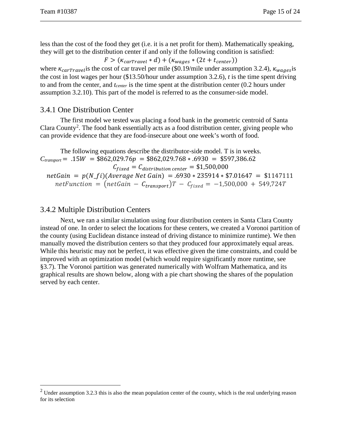less than the cost of the food they get (i.e. it is a net profit for them). Mathematically speaking, they will get to the distribution center if and only if the following condition is satisfied:

 $F > (k_{carTravel} * d) + (k_{wages} * (2t + t_{center}))$ 

where  $\kappa_{carTravel}$  is the cost of car travel per mile (\$0.19/mile under assumption 3.2.4),  $\kappa_{waqes}$  is the cost in lost wages per hour (\$13.50/hour under assumption 3.2.6), *t* is the time spent driving to and from the center, and *tcenter* is the time spent at the distribution center (0.2 hours under assumption 3.2.10). This part of the model is referred to as the consumer-side model.

#### 3.4.1 One Distribution Center

The first model we tested was placing a food bank in the geometric centroid of Santa Clara County<sup>[2](#page-15-0)</sup>. The food bank essentially acts as a food distribution center, giving people who can provide evidence that they are food-insecure about one week's worth of food.

The following equations describe the distributor-side model. T is in weeks.  $C_{transport} = .15W = $862,029.76p = $862,029.768+.6930 = $597,386.62$  $C_{fixed} = C_{distribution \ center} = $1,500,000$  $netGain = p(N \text{ } fi)(Average Net Gain) = .6930 * 235914 * $7.01647 = $1147111$  $netFunction = (netGain - C_{transport})T - C_{fixed} = -1,500,000 + 549,724T$ 

#### 3.4.2 Multiple Distribution Centers

Next, we ran a similar simulation using four distribution centers in Santa Clara County instead of one. In order to select the locations for these centers, we created a Voronoi partition of the county (using Euclidean distance instead of driving distance to minimize runtime). We then manually moved the distribution centers so that they produced four approximately equal areas. While this heuristic may not be perfect, it was effective given the time constraints, and could be improved with an optimization model (which would require significantly more runtime, see §3.7). The Voronoi partition was generated numerically with Wolfram Mathematica, and its graphical results are shown below, along with a pie chart showing the shares of the population served by each center.

<span id="page-15-0"></span> $2$  Under assumption 3.2.3 this is also the mean population center of the county, which is the real underlying reason for its selection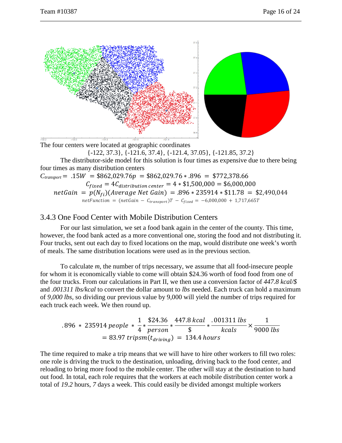

The four centers were located at geographic coordinates {-122, 37.3}, {-121.6, 37.4}, {-121.4, 37.05}, {-121.85, 37.2}

The distributor-side model for this solution is four times as expensive due to there being four times as many distribution centers

 $C_{transport} = .15W = $862,029.76p = $862,029.76 * .896 = $772,378.66$  $C_{fixed} = 4 C_{distribution \ center} = 4 * \$1,500,000 = \$6,000,000$ 

 $Gain = p(N_{fi}) (Average Net Gam) = .896 * 235914 * $11.78 = $2,490,044$  $netFunction = (netGain - C_{transport})T - C_{fixed} = -6,000,000 + 1,717,665T$ 

#### 3.4.3 One Food Center with Mobile Distribution Centers

For our last simulation, we set a food bank again in the center of the county. This time, however, the food bank acted as a more conventional one, storing the food and not distributing it. Four trucks, sent out each day to fixed locations on the map, would distribute one week's worth of meals. The same distribution locations were used as in the previous section.

To calculate *m*, the number of trips necessary, we assume that all food-insecure people for whom it is economically viable to come will obtain \$24.36 worth of food food from one of the four trucks. From our calculations in Part II, we then use a conversion factor of *447.8 kcal/\$* and *.001311 lbs/kcal* to convert the dollar amount to *lbs* needed. Each truck can hold a maximum of *9,000 lbs,* so dividing our previous value by 9,000 will yield the number of trips required for each truck each week. We then round up.

$$
.896 * 235914 people * \frac{1}{4} * \frac{$24.36}{person} * \frac{447.8 \, kcal}{\$} * \frac{.001311 \, lbs}{kcal} \times \frac{1}{9000 \, lbs}
$$
  
= 83.97 *tripsm*(*t<sub>driving</sub>*) = 134.4 hours

The time required to make a trip means that we will have to hire other workers to fill two roles: one role is driving the truck to the destination, unloading, driving back to the food center, and reloading to bring more food to the mobile center. The other will stay at the destination to hand out food. In total, each role requires that the workers at each mobile distribution center work a total of *19.2* hours, *7* days a week. This could easily be divided amongst multiple workers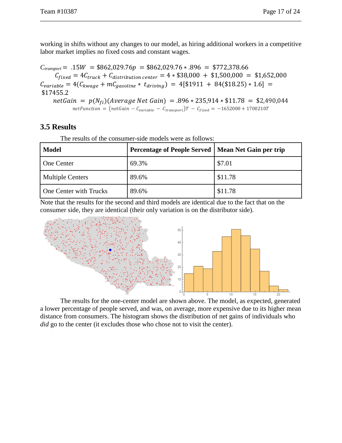working in shifts without any changes to our model, as hiring additional workers in a competitive labor market implies no fixed costs and constant wages.

 $C_{transport} = .15W = $862,029.76p = $862,029.76 * .896 = $772,378.66$  $C_{fixed} = 4 C_{truck} + C_{distribution \ center} = 4 * $38,000 + $1,500,000 = $1,652,000$  $C_{variable} = 4(C_{kwage} + mC_{gasoline} * t_{driving}) = 4[$1911 + 84($18.25) * 1.6] =$ \$17455.2  $netGain = p(N_{fi}) (Average Net Gain) = .896 * 235,914 * $11.78 = $2,490,044$ netFunction =  $(netGain - C_{variable} - C_{transport})T - C_{fixed} = -1652000 + 1700210T$ 

# **3.5 Results**

The results of the consumer-side models were as follows:

| <b>Model</b>            | Percentage of People Served   Mean Net Gain per trip |         |
|-------------------------|------------------------------------------------------|---------|
| <b>One Center</b>       | 69.3%                                                | \$7.01  |
| <b>Multiple Centers</b> | 89.6%                                                | \$11.78 |
| One Center with Trucks  | 89.6%                                                | \$11.78 |

Note that the results for the second and third models are identical due to the fact that on the consumer side, they are identical (their only variation is on the distributor side).



The results for the one-center model are shown above. The model, as expected, generated a lower percentage of people served, and was, on average, more expensive due to its higher mean distance from consumers. The histogram shows the distribution of net gains of individuals who *did* go to the center (it excludes those who chose not to visit the center).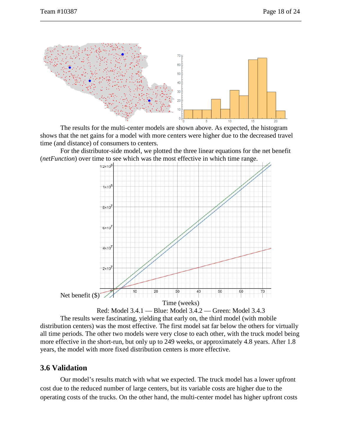

The results for the multi-center models are shown above. As expected, the histogram shows that the net gains for a model with more centers were higher due to the decreased travel time (and distance) of consumers to centers.

For the distributor-side model, we plotted the three linear equations for the net benefit (*netFunction*) over time to see which was the most effective in which time range.





The results were fascinating, yielding that early on, the third model (with mobile distribution centers) was the most effective. The first model sat far below the others for virtually all time periods. The other two models were very close to each other, with the truck model being more effective in the short-run, but only up to 249 weeks, or approximately 4.8 years. After 1.8 years, the model with more fixed distribution centers is more effective.

#### **3.6 Validation**

Our model's results match with what we expected. The truck model has a lower upfront cost due to the reduced number of large centers, but its variable costs are higher due to the operating costs of the trucks. On the other hand, the multi-center model has higher upfront costs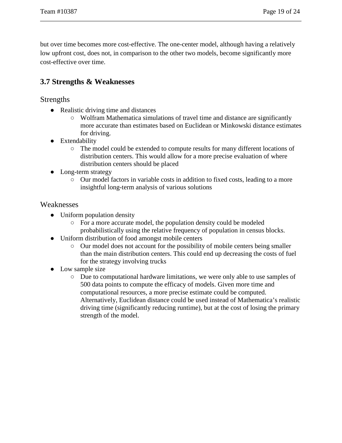but over time becomes more cost-effective. The one-center model, although having a relatively low upfront cost, does not, in comparison to the other two models, become significantly more cost-effective over time.

# **3.7 Strengths & Weaknesses**

Strengths

- Realistic driving time and distances
	- Wolfram Mathematica simulations of travel time and distance are significantly more accurate than estimates based on Euclidean or Minkowski distance estimates for driving.
- Extendability
	- The model could be extended to compute results for many different locations of distribution centers. This would allow for a more precise evaluation of where distribution centers should be placed
- Long-term strategy
	- Our model factors in variable costs in addition to fixed costs, leading to a more insightful long-term analysis of various solutions

#### Weaknesses

- Uniform population density
	- For a more accurate model, the population density could be modeled probabilistically using the relative frequency of population in census blocks.
- Uniform distribution of food amongst mobile centers
	- Our model does not account for the possibility of mobile centers being smaller than the main distribution centers. This could end up decreasing the costs of fuel for the strategy involving trucks
- Low sample size
	- Due to computational hardware limitations, we were only able to use samples of 500 data points to compute the efficacy of models. Given more time and computational resources, a more precise estimate could be computed. Alternatively, Euclidean distance could be used instead of Mathematica's realistic driving time (significantly reducing runtime), but at the cost of losing the primary strength of the model.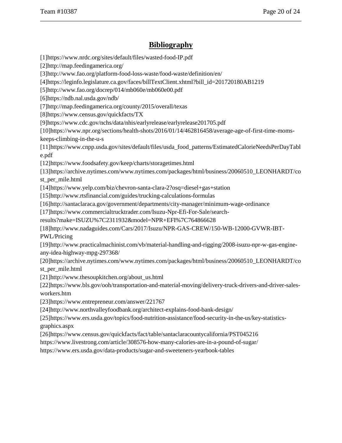# **Bibliography**

[1]https://www.nrdc.org/sites/default/files/wasted-food-IP.pdf [2]http://map.feedingamerica.org/ [3]http://www.fao.org/platform-food-loss-waste/food-waste/definition/en/ [4]https://leginfo.legislature.ca.gov/faces/billTextClient.xhtml?bill\_id=201720180AB1219 [5]http://www.fao.org/docrep/014/mb060e/mb060e00.pdf [6]https://ndb.nal.usda.gov/ndb/ [7]http://map.feedingamerica.org/county/2015/overall/texas [8]https://www.census.gov/quickfacts/TX [9]https://www.cdc.gov/nchs/data/nhis/earlyrelease/earlyrelease201705.pdf [10]https://www.npr.org/sections/health-shots/2016/01/14/462816458/average-age-of-first-time-momskeeps-climbing-in-the-u-s [11]https://www.cnpp.usda.gov/sites/default/files/usda\_food\_patterns/EstimatedCalorieNeedsPerDayTabl e.pdf [12]https://www.foodsafety.gov/keep/charts/storagetimes.html [13]https://archive.nytimes.com/www.nytimes.com/packages/html/business/20060510\_LEONHARDT/co st\_per\_mile.html [14]https://www.yelp.com/biz/chevron-santa-clara-2?osq=diesel+gas+station [15]http://www.rtsfinancial.com/guides/trucking-calculations-formulas [16]http://santaclaraca.gov/government/departments/city-manager/minimum-wage-ordinance [17]https://www.commercialtrucktrader.com/Isuzu-Npr-Efi-For-Sale/searchresults?make=ISUZU%7C2311932&model=NPR+EFI%7C764866628 [18]http://www.nadaguides.com/Cars/2017/Isuzu/NPR-GAS-CREW/150-WB-12000-GVWR-IBT-PWL/Pricing [19]http://www.practicalmachinist.com/vb/material-handling-and-rigging/2008-isuzu-npr-w-gas-engineany-idea-highway-mpg-297368/ [20]https://archive.nytimes.com/www.nytimes.com/packages/html/business/20060510\_LEONHARDT/co st\_per\_mile.html [21]http://www.thesoupkitchen.org/about\_us.html [22]https://www.bls.gov/ooh/transportation-and-material-moving/delivery-truck-drivers-and-driver-salesworkers.htm [23]https://www.entrepreneur.com/answer/221767 [24]http://www.northvalleyfoodbank.org/architect-explains-food-bank-design/ [25]https://www.ers.usda.gov/topics/food-nutrition-assistance/food-security-in-the-us/key-statisticsgraphics.aspx [26]https://www.census.gov/quickfacts/fact/table/santaclaracountycalifornia/PST045216 https://www.livestrong.com/article/308576-how-many-calories-are-in-a-pound-of-sugar/ https://www.ers.usda.gov/data-products/sugar-and-sweeteners-yearbook-tables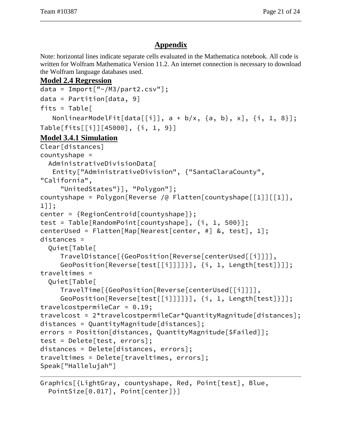# **Appendix**

Note: horizontal lines indicate separate cells evaluated in the Mathematica notebook. All code is written for Wolfram Mathematica Version 11.2. An internet connection is necessary to download the Wolfram language databases used.

### **Model 2.4 Regression**

```
data = Import["~/M3/part2.csv"];
data = Partition[data, 9]
fits = Table[NonlinearModelFit[data[[i]], a + b/x, \{a, b\}, x], \{i, 1, 8\}];
Table[fits[[i]][45000], {i, 1, 9}]
Model 3.4.1 Simulation
Clear[distances]
countyshape =
   AdministrativeDivisionData[
    Entity["AdministrativeDivision", {"SantaClaraCounty", 
"California",
      "UnitedStates"}], "Polygon"];
countyshape = Polygon[Reverse /@ Flatten[countyshape[[1]][[1]], 
1]];
center = {RegionCentroid[countyshape]};
test = Table[RandomPoint[countyshape], {i, 1, 500}];
centerUsed = Flatten[Map[Nearest[center, #] &, test], 1];
distances =
   Quiet[Table[
     TravelDistance[{GeoPosition[Reverse[centerUsed[[i]]]],
      GeoPosition[Reverse[test[[i]]]]}], {i, 1, Length[test]}]];
traveltimes =
   Quiet[Table[
     TravelTime[{GeoPosition[Reverse[centerUsed[[i]]]],
      GeoPosition[Reverse[test[[i]]]]}], {i, 1, Length[test]}]];
travelcostpermileCar = 0.19;
travelcost = 2*travelcostpermileCar*QuantityMagnitude[distances];
distances = QuantityMagnitude[distances];
errors = Position[distances, QuantityMagnitude[$Failed]];
test = Delete[test, errors];
distances = Delete[distances, errors];
traveltimes = Delete[traveltimes, errors];
Speak["Hallelujah"]
```

```
Graphics[{LightGray, countyshape, Red, Point[test], Blue,
   PointSize[0.017], Point[center]}]
```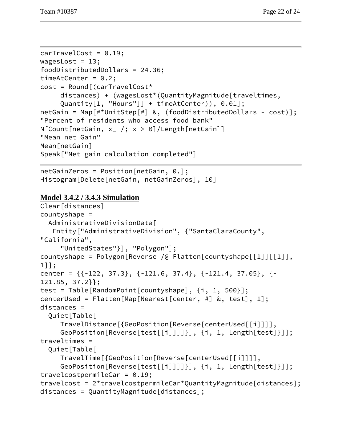```
carTravelCost = 0.19;
wagesLost = 13;
foodDistributedDollars = 24.36;
timeAtCenter = 0.2;
cost = Round[(carTravelCost*
     distances) + (wagesLost*(QuantityMagnitude[traveltimes,
      Quantity[1, "Hours"]] + timeAtCenter)), 0.01];
netGain = Map[#*UnitStep[#] &, (foodDistributedDollars - cost)];
"Percent of residents who access food bank"
N[Count[netGain, x_ /; x > 0]/Length[netGain]]"Mean net Gain"
Mean[netGain]
Speak["Net gain calculation completed"]
```

```
netGainZeros = Position[netGain, 0.];
Histogram[Delete[netGain, netGainZeros], 10]
```
# **Model 3.4.2 / 3.4.3 Simulation**

```
Clear[distances]
countyshape =
   AdministrativeDivisionData[
    Entity["AdministrativeDivision", {"SantaClaraCounty", 
"California",
      "UnitedStates"}], "Polygon"];
countyshape = Polygon[Reverse /@ Flatten[countyshape[[1]][[1]], 
1]];
center = {{-122, 37.3}, {-121.6, 37.4}, {-121.4, 37.05}, {-
121.85, 37.2}};
test = Table[RandomPoint[countyshape], {i, 1, 500}];
centerUsed = Flatten[Map[Nearest[center, #] &, test], 1];
distances =
   Quiet[Table[
     TravelDistance[{GeoPosition[Reverse[centerUsed[[i]]]],
      GeoPosition[Reverse[test[[i]]]]}], {i, 1, Length[test]}]];
traveltimes =
   Quiet[Table[
     TravelTime[{GeoPosition[Reverse[centerUsed[[i]]]],
      GeoPosition[Reverse[test[[i]]]]}], {i, 1, Length[test]}]];
travelcostpermileCar = 0.19;
travelcost = 2*travelcostpermileCar*QuantityMagnitude[distances];
distances = QuantityMagnitude[distances];
```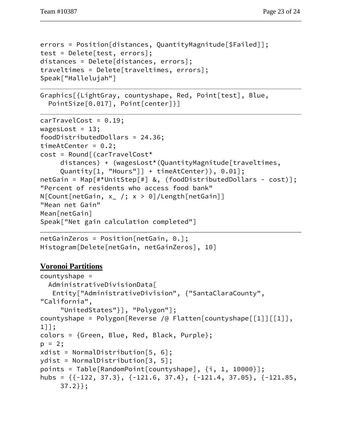```
errors = Position[distances, QuantityMagnitude[$Failed]];
test = Delete[test, errors];
distances = Delete[distances, errors];
traveltimes = Delete[traveltimes, errors];
Speak["Hallelujah"]
```

```
Graphics[{LightGray, countyshape, Red, Point[test], Blue,
  PointSize[0.017], Point[center]}]
```

```
carTravelCost = 0.19;
wagesLost = 13;
foodDistributedDollars = 24.36;
timeAtCenter = 0.2;
cost = Round[(carTravelCost*
      distances) + (wagesLost*(QuantityMagnitude[traveltimes,
      Quantity[1, "Hours"]] + timeAtCenter)), 0.01];
netGain = Map[#*UnitStep[#] &, (foodDistributedDollars - cost)];
"Percent of residents who access food bank"
N[Count[netGain, x_ /; x > 0]/Length[netGain]]"Mean net Gain"
Mean[netGain]
Speak["Net gain calculation completed"]
```

```
netGainZeros = Position[netGain, 0.];
Histogram[Delete[netGain, netGainZeros], 10]
```
# **Voronoi Partitions**

```
countyshape =
   AdministrativeDivisionData[
    Entity["AdministrativeDivision", {"SantaClaraCounty", 
"California",
      "UnitedStates"}], "Polygon"];
countyshape = Polygon[Reverse /@ Flatten[countyshape[[1]][[1]], 
1]];
colors = {Green, Blue, Red, Black, Purple};
p = 2;xdist = NormalDistribution[5, 6];
ydist = NormalDistribution[3, 5];
points = Table[RandomPoint[countyshape], {i, 1, 10000}];
hubs = {{-122, 37.3}, {-121.6, 37.4}, {-121.4, 37.05}, {-121.85,
     37.2}};
```